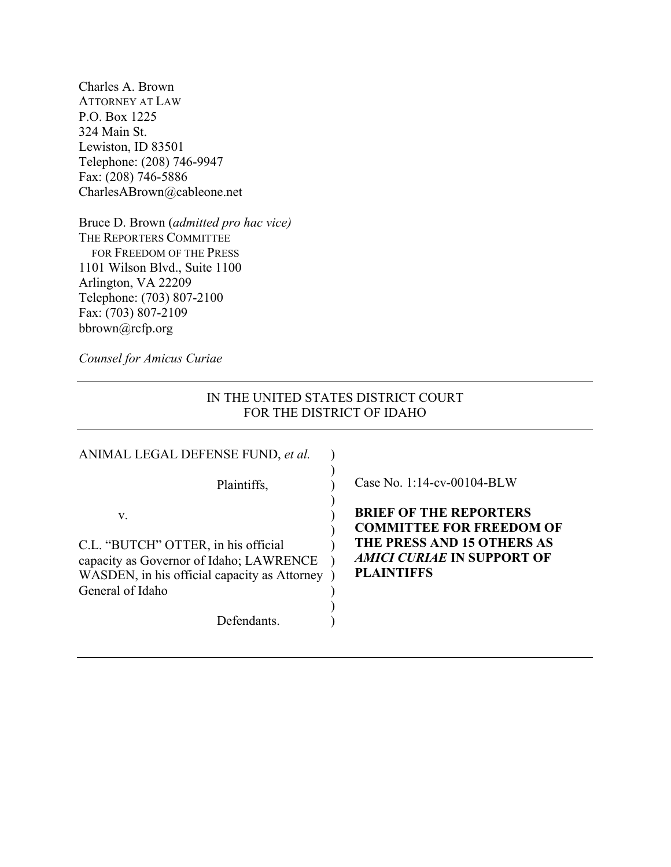Charles A. Brown ATTORNEY AT LAW P.O. Box 1225 324 Main St. Lewiston, ID 83501 Telephone: (208) 746-9947 Fax: (208) 746-5886 CharlesABrown@cableone.net

Bruce D. Brown (*admitted pro hac vice)* THE REPORTERS COMMITTEE FOR FREEDOM OF THE PRESS 1101 Wilson Blvd., Suite 1100 Arlington, VA 22209 Telephone: (703) 807-2100 Fax: (703) 807-2109 bbrown@rcfp.org

*Counsel for Amicus Curiae*

# IN THE UNITED STATES DISTRICT COURT FOR THE DISTRICT OF IDAHO

| ANIMAL LEGAL DEFENSE FUND, et al.                                                                                                                        |                                                                                                                                                          |
|----------------------------------------------------------------------------------------------------------------------------------------------------------|----------------------------------------------------------------------------------------------------------------------------------------------------------|
| Plaintiffs,                                                                                                                                              | Case No. 1:14-cv-00104-BLW                                                                                                                               |
| V.<br>C.L. "BUTCH" OTTER, in his official<br>capacity as Governor of Idaho; LAWRENCE<br>WASDEN, in his official capacity as Attorney<br>General of Idaho | <b>BRIEF OF THE REPORTERS</b><br><b>COMMITTEE FOR FREEDOM OF</b><br>THE PRESS AND 15 OTHERS AS<br><i>AMICI CURIAE</i> IN SUPPORT OF<br><b>PLAINTIFFS</b> |
| <b>Defendants</b>                                                                                                                                        |                                                                                                                                                          |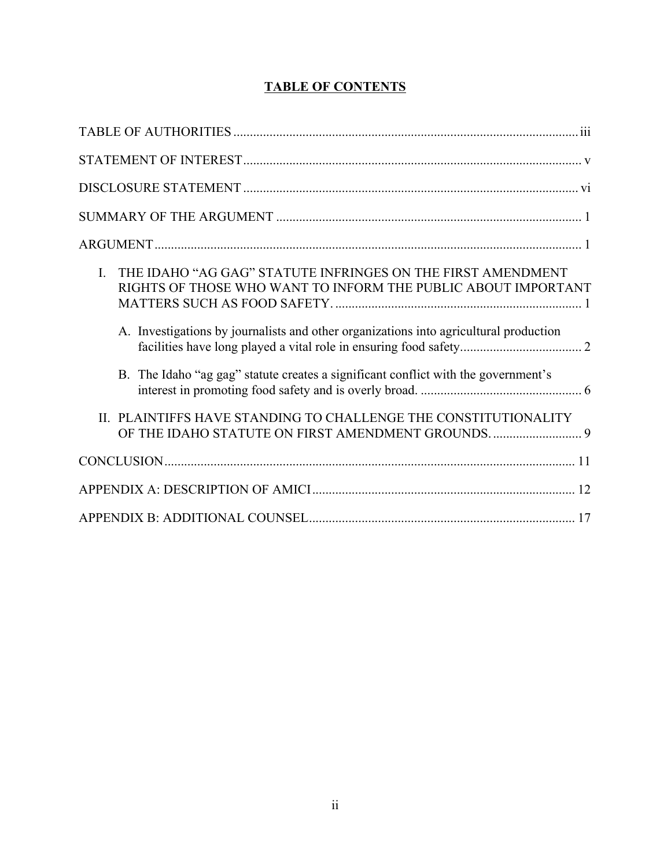# **TABLE OF CONTENTS**

| THE IDAHO "AG GAG" STATUTE INFRINGES ON THE FIRST AMENDMENT<br>$\mathbf{L}$<br>RIGHTS OF THOSE WHO WANT TO INFORM THE PUBLIC ABOUT IMPORTANT<br>A. Investigations by journalists and other organizations into agricultural production |
|---------------------------------------------------------------------------------------------------------------------------------------------------------------------------------------------------------------------------------------|
|                                                                                                                                                                                                                                       |
| B. The Idaho "ag gag" statute creates a significant conflict with the government's                                                                                                                                                    |
| II. PLAINTIFFS HAVE STANDING TO CHALLENGE THE CONSTITUTIONALITY<br>OF THE IDAHO STATUTE ON FIRST AMENDMENT GROUNDS.  9                                                                                                                |
|                                                                                                                                                                                                                                       |
|                                                                                                                                                                                                                                       |
|                                                                                                                                                                                                                                       |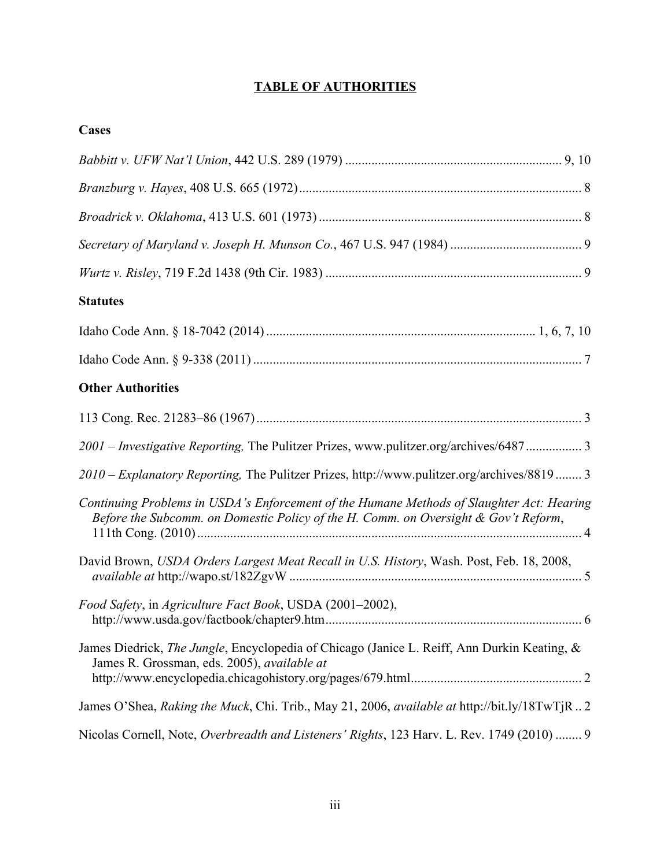# **TABLE OF AUTHORITIES**

| ۰ |
|---|
|---|

| <b>Statutes</b>                                                                                                                                                                  |
|----------------------------------------------------------------------------------------------------------------------------------------------------------------------------------|
|                                                                                                                                                                                  |
|                                                                                                                                                                                  |
| <b>Other Authorities</b>                                                                                                                                                         |
|                                                                                                                                                                                  |
| 2001 - Investigative Reporting, The Pulitzer Prizes, www.pulitzer.org/archives/6487 3                                                                                            |
| 2010 – Explanatory Reporting, The Pulitzer Prizes, http://www.pulitzer.org/archives/8819 3                                                                                       |
| Continuing Problems in USDA's Enforcement of the Humane Methods of Slaughter Act: Hearing<br>Before the Subcomm. on Domestic Policy of the H. Comm. on Oversight & Gov't Reform, |
| David Brown, USDA Orders Largest Meat Recall in U.S. History, Wash. Post, Feb. 18, 2008,                                                                                         |
| Food Safety, in Agriculture Fact Book, USDA (2001–2002),                                                                                                                         |
| James Diedrick, The Jungle, Encyclopedia of Chicago (Janice L. Reiff, Ann Durkin Keating, &<br>James R. Grossman, eds. 2005), available at                                       |
| James O'Shea, Raking the Muck, Chi. Trib., May 21, 2006, available at http://bit.ly/18TwTjR2                                                                                     |
| Nicolas Cornell, Note, Overbreadth and Listeners' Rights, 123 Harv. L. Rev. 1749 (2010)  9                                                                                       |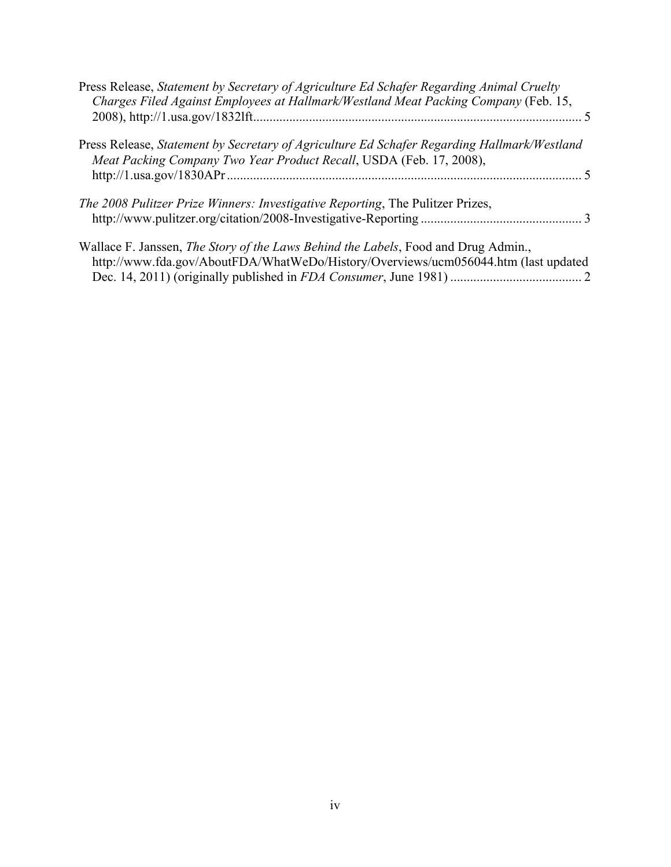| Press Release, Statement by Secretary of Agriculture Ed Schafer Regarding Animal Cruelty<br>Charges Filed Against Employees at Hallmark/Westland Meat Packing Company (Feb. 15,  |  |
|----------------------------------------------------------------------------------------------------------------------------------------------------------------------------------|--|
| Press Release, Statement by Secretary of Agriculture Ed Schafer Regarding Hallmark/Westland<br>Meat Packing Company Two Year Product Recall, USDA (Feb. 17, 2008),               |  |
| <i>The 2008 Pulitzer Prize Winners: Investigative Reporting, The Pulitzer Prizes,</i>                                                                                            |  |
| Wallace F. Janssen, <i>The Story of the Laws Behind the Labels</i> , Food and Drug Admin.,<br>http://www.fda.gov/AboutFDA/WhatWeDo/History/Overviews/ucm056044.htm (last updated |  |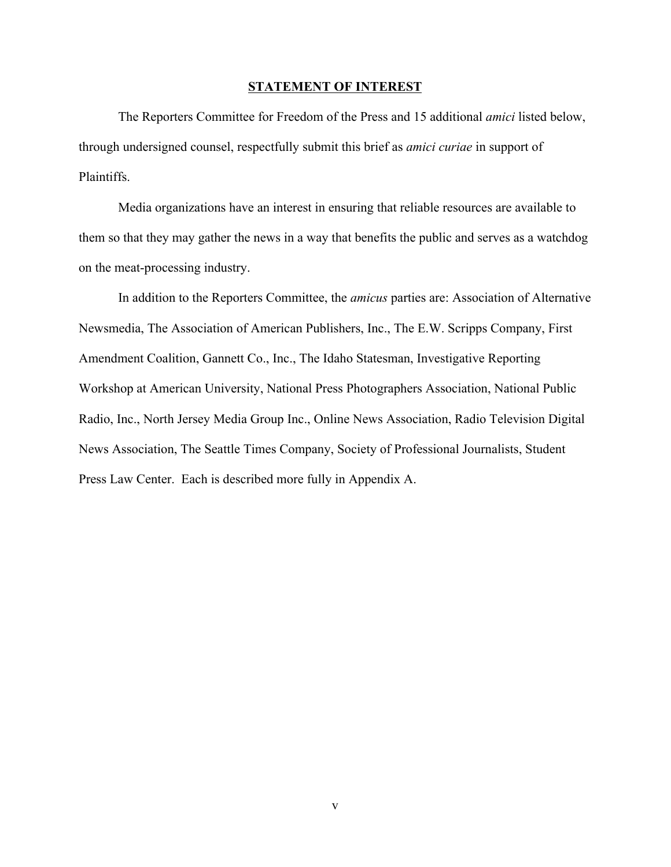### **STATEMENT OF INTEREST**

The Reporters Committee for Freedom of the Press and 15 additional *amici* listed below, through undersigned counsel, respectfully submit this brief as *amici curiae* in support of **Plaintiffs** 

Media organizations have an interest in ensuring that reliable resources are available to them so that they may gather the news in a way that benefits the public and serves as a watchdog on the meat-processing industry.

In addition to the Reporters Committee, the *amicus* parties are: Association of Alternative Newsmedia, The Association of American Publishers, Inc., The E.W. Scripps Company, First Amendment Coalition, Gannett Co., Inc., The Idaho Statesman, Investigative Reporting Workshop at American University, National Press Photographers Association, National Public Radio, Inc., North Jersey Media Group Inc., Online News Association, Radio Television Digital News Association, The Seattle Times Company, Society of Professional Journalists, Student Press Law Center. Each is described more fully in Appendix A.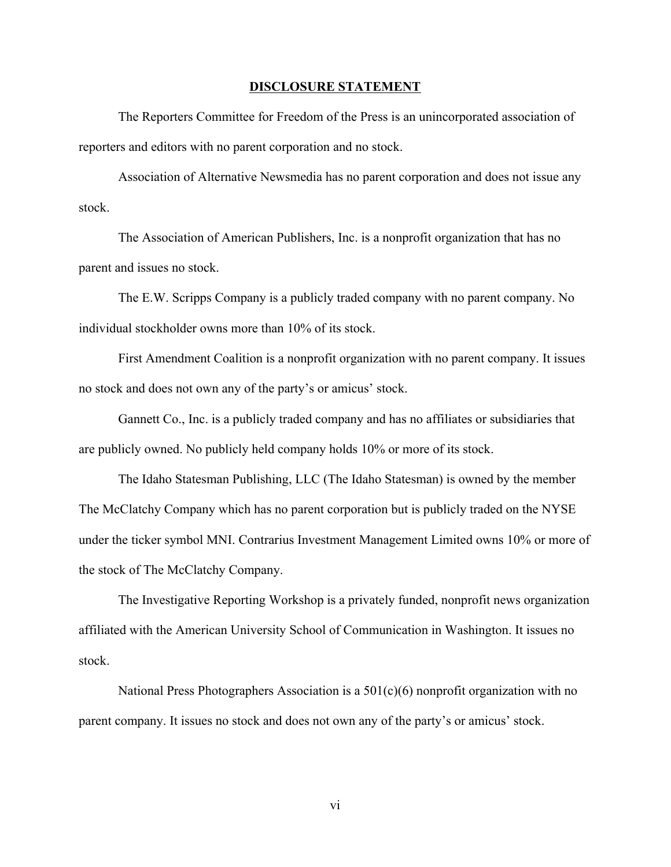### **DISCLOSURE STATEMENT**

The Reporters Committee for Freedom of the Press is an unincorporated association of reporters and editors with no parent corporation and no stock.

Association of Alternative Newsmedia has no parent corporation and does not issue any stock.

The Association of American Publishers, Inc. is a nonprofit organization that has no parent and issues no stock.

The E.W. Scripps Company is a publicly traded company with no parent company. No individual stockholder owns more than 10% of its stock.

First Amendment Coalition is a nonprofit organization with no parent company. It issues no stock and does not own any of the party's or amicus' stock.

Gannett Co., Inc. is a publicly traded company and has no affiliates or subsidiaries that are publicly owned. No publicly held company holds 10% or more of its stock.

The Idaho Statesman Publishing, LLC (The Idaho Statesman) is owned by the member The McClatchy Company which has no parent corporation but is publicly traded on the NYSE under the ticker symbol MNI. Contrarius Investment Management Limited owns 10% or more of the stock of The McClatchy Company.

The Investigative Reporting Workshop is a privately funded, nonprofit news organization affiliated with the American University School of Communication in Washington. It issues no stock.

National Press Photographers Association is a  $501(c)(6)$  nonprofit organization with no parent company. It issues no stock and does not own any of the party's or amicus' stock.

vi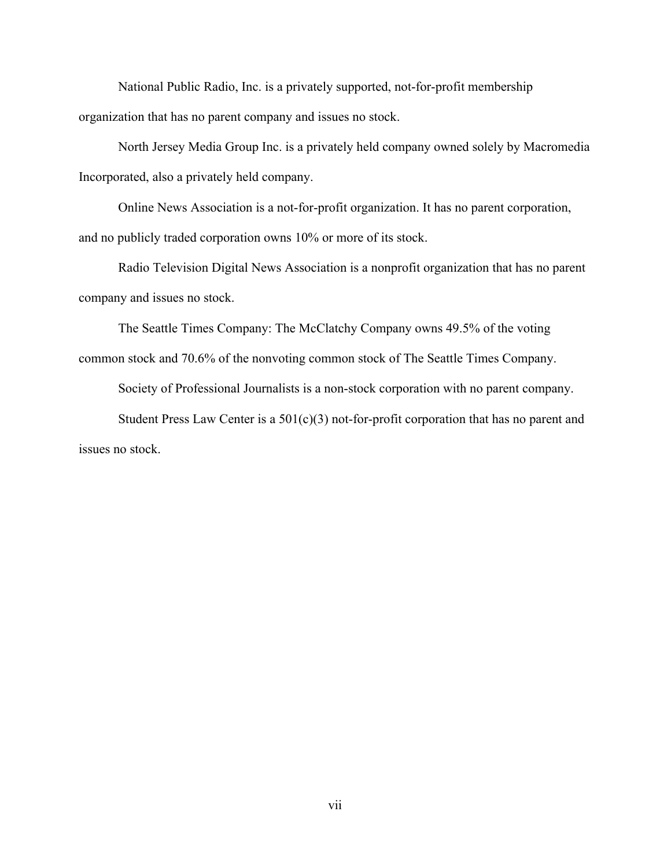National Public Radio, Inc. is a privately supported, not-for-profit membership organization that has no parent company and issues no stock.

North Jersey Media Group Inc. is a privately held company owned solely by Macromedia Incorporated, also a privately held company.

Online News Association is a not-for-profit organization. It has no parent corporation, and no publicly traded corporation owns 10% or more of its stock.

Radio Television Digital News Association is a nonprofit organization that has no parent company and issues no stock.

The Seattle Times Company: The McClatchy Company owns 49.5% of the voting common stock and 70.6% of the nonvoting common stock of The Seattle Times Company.

Society of Professional Journalists is a non-stock corporation with no parent company.

Student Press Law Center is a  $501(c)(3)$  not-for-profit corporation that has no parent and issues no stock.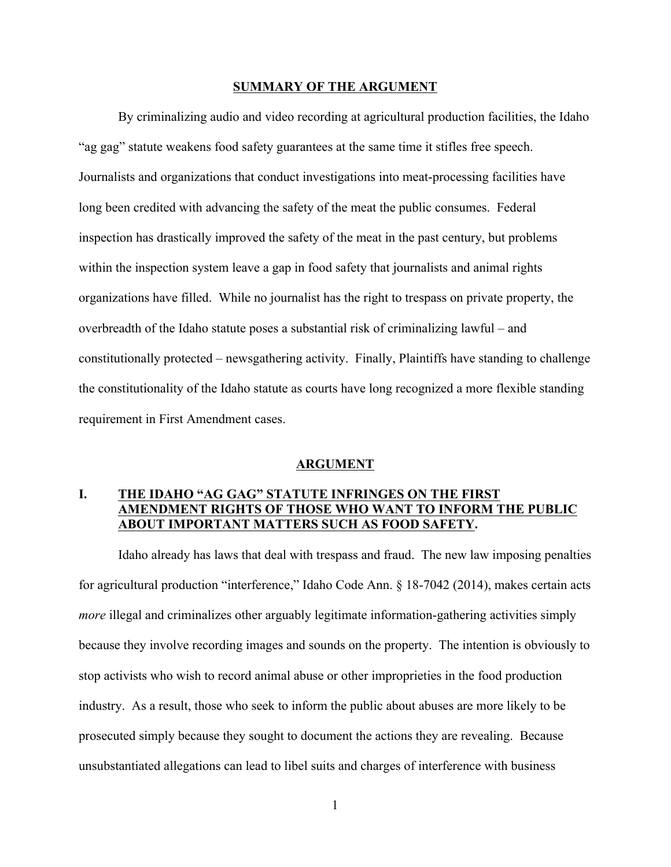### **SUMMARY OF THE ARGUMENT**

By criminalizing audio and video recording at agricultural production facilities, the Idaho "ag gag" statute weakens food safety guarantees at the same time it stifles free speech. Journalists and organizations that conduct investigations into meat-processing facilities have long been credited with advancing the safety of the meat the public consumes. Federal inspection has drastically improved the safety of the meat in the past century, but problems within the inspection system leave a gap in food safety that journalists and animal rights organizations have filled. While no journalist has the right to trespass on private property, the overbreadth of the Idaho statute poses a substantial risk of criminalizing lawful – and constitutionally protected – newsgathering activity. Finally, Plaintiffs have standing to challenge the constitutionality of the Idaho statute as courts have long recognized a more flexible standing requirement in First Amendment cases.

### **ARGUMENT**

## **I. THE IDAHO "AG GAG" STATUTE INFRINGES ON THE FIRST AMENDMENT RIGHTS OF THOSE WHO WANT TO INFORM THE PUBLIC ABOUT IMPORTANT MATTERS SUCH AS FOOD SAFETY.**

Idaho already has laws that deal with trespass and fraud. The new law imposing penalties for agricultural production "interference," Idaho Code Ann. § 18-7042 (2014), makes certain acts *more* illegal and criminalizes other arguably legitimate information-gathering activities simply because they involve recording images and sounds on the property. The intention is obviously to stop activists who wish to record animal abuse or other improprieties in the food production industry. As a result, those who seek to inform the public about abuses are more likely to be prosecuted simply because they sought to document the actions they are revealing. Because unsubstantiated allegations can lead to libel suits and charges of interference with business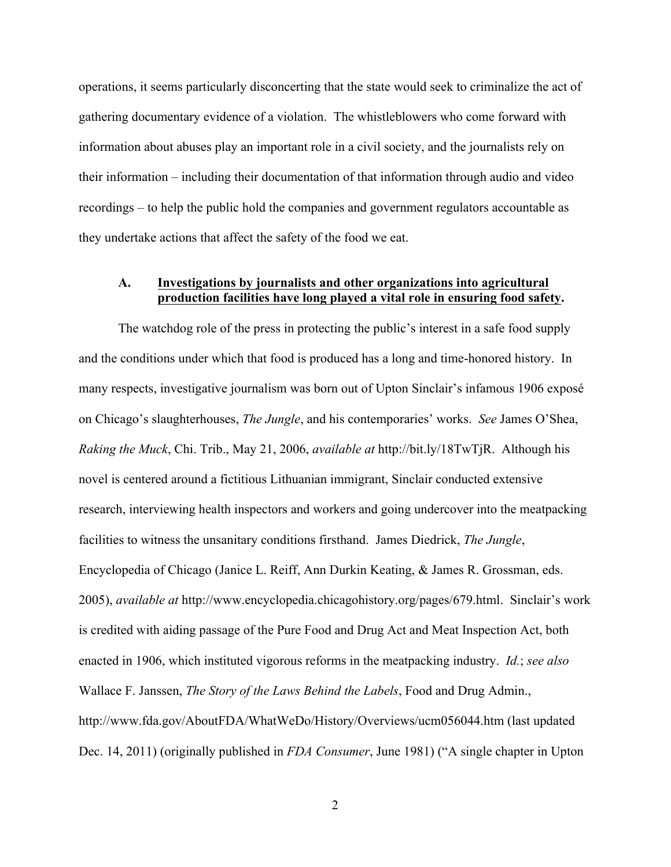operations, it seems particularly disconcerting that the state would seek to criminalize the act of gathering documentary evidence of a violation. The whistleblowers who come forward with information about abuses play an important role in a civil society, and the journalists rely on their information – including their documentation of that information through audio and video recordings – to help the public hold the companies and government regulators accountable as they undertake actions that affect the safety of the food we eat.

### **A. Investigations by journalists and other organizations into agricultural production facilities have long played a vital role in ensuring food safety.**

The watchdog role of the press in protecting the public's interest in a safe food supply and the conditions under which that food is produced has a long and time-honored history. In many respects, investigative journalism was born out of Upton Sinclair's infamous 1906 exposé on Chicago's slaughterhouses, *The Jungle*, and his contemporaries' works. *See* James O'Shea, *Raking the Muck*, Chi. Trib., May 21, 2006, *available at* http://bit.ly/18TwTjR. Although his novel is centered around a fictitious Lithuanian immigrant, Sinclair conducted extensive research, interviewing health inspectors and workers and going undercover into the meatpacking facilities to witness the unsanitary conditions firsthand. James Diedrick, *The Jungle*, Encyclopedia of Chicago (Janice L. Reiff, Ann Durkin Keating, & James R. Grossman, eds. 2005), *available at* http://www.encyclopedia.chicagohistory.org/pages/679.html. Sinclair's work is credited with aiding passage of the Pure Food and Drug Act and Meat Inspection Act, both enacted in 1906, which instituted vigorous reforms in the meatpacking industry. *Id.*; *see also* Wallace F. Janssen, *The Story of the Laws Behind the Labels*, Food and Drug Admin., http://www.fda.gov/AboutFDA/WhatWeDo/History/Overviews/ucm056044.htm (last updated Dec. 14, 2011) (originally published in *FDA Consumer*, June 1981) ("A single chapter in Upton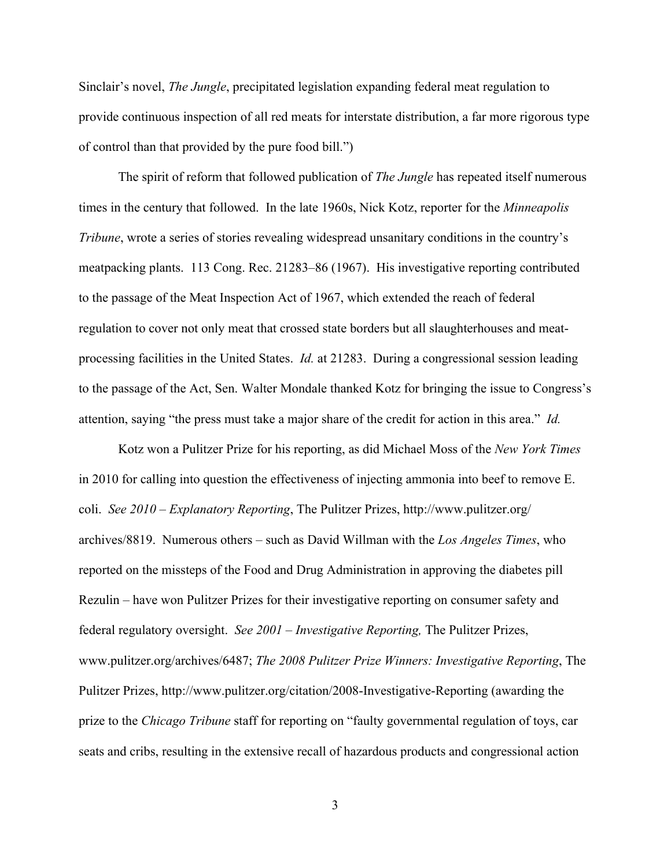Sinclair's novel, *The Jungle*, precipitated legislation expanding federal meat regulation to provide continuous inspection of all red meats for interstate distribution, a far more rigorous type of control than that provided by the pure food bill.")

The spirit of reform that followed publication of *The Jungle* has repeated itself numerous times in the century that followed. In the late 1960s, Nick Kotz, reporter for the *Minneapolis Tribune*, wrote a series of stories revealing widespread unsanitary conditions in the country's meatpacking plants. 113 Cong. Rec. 21283–86 (1967). His investigative reporting contributed to the passage of the Meat Inspection Act of 1967, which extended the reach of federal regulation to cover not only meat that crossed state borders but all slaughterhouses and meatprocessing facilities in the United States. *Id.* at 21283. During a congressional session leading to the passage of the Act, Sen. Walter Mondale thanked Kotz for bringing the issue to Congress's attention, saying "the press must take a major share of the credit for action in this area." *Id.*

Kotz won a Pulitzer Prize for his reporting, as did Michael Moss of the *New York Times* in 2010 for calling into question the effectiveness of injecting ammonia into beef to remove E. coli. *See 2010 – Explanatory Reporting*, The Pulitzer Prizes, http://www.pulitzer.org/ archives/8819. Numerous others – such as David Willman with the *Los Angeles Times*, who reported on the missteps of the Food and Drug Administration in approving the diabetes pill Rezulin – have won Pulitzer Prizes for their investigative reporting on consumer safety and federal regulatory oversight. *See 2001 – Investigative Reporting,* The Pulitzer Prizes, www.pulitzer.org/archives/6487; *The 2008 Pulitzer Prize Winners: Investigative Reporting*, The Pulitzer Prizes, http://www.pulitzer.org/citation/2008-Investigative-Reporting (awarding the prize to the *Chicago Tribune* staff for reporting on "faulty governmental regulation of toys, car seats and cribs, resulting in the extensive recall of hazardous products and congressional action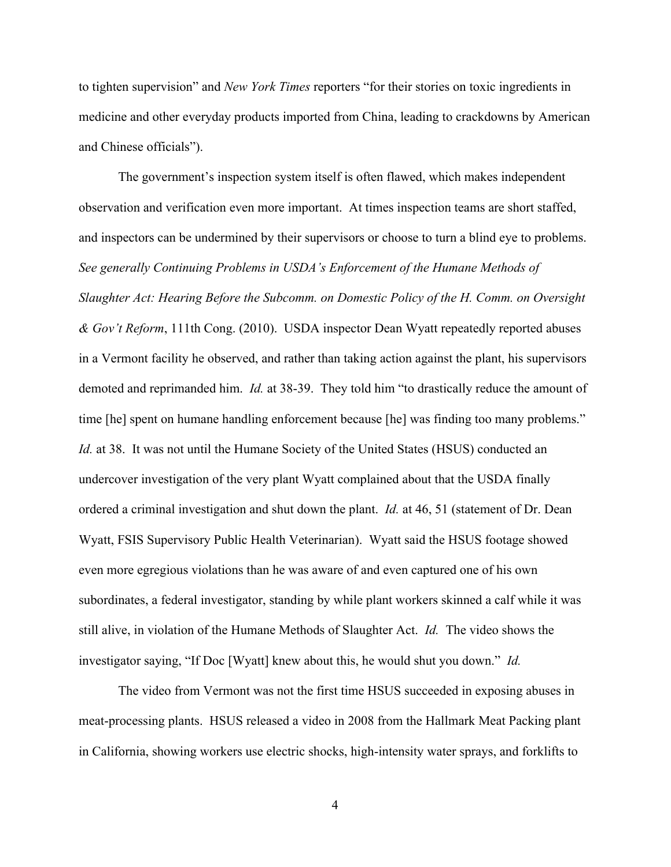to tighten supervision" and *New York Times* reporters "for their stories on toxic ingredients in medicine and other everyday products imported from China, leading to crackdowns by American and Chinese officials").

The government's inspection system itself is often flawed, which makes independent observation and verification even more important. At times inspection teams are short staffed, and inspectors can be undermined by their supervisors or choose to turn a blind eye to problems. *See generally Continuing Problems in USDA's Enforcement of the Humane Methods of Slaughter Act: Hearing Before the Subcomm. on Domestic Policy of the H. Comm. on Oversight & Gov't Reform*, 111th Cong. (2010). USDA inspector Dean Wyatt repeatedly reported abuses in a Vermont facility he observed, and rather than taking action against the plant, his supervisors demoted and reprimanded him. *Id.* at 38-39. They told him "to drastically reduce the amount of time [he] spent on humane handling enforcement because [he] was finding too many problems." *Id.* at 38. It was not until the Humane Society of the United States (HSUS) conducted an undercover investigation of the very plant Wyatt complained about that the USDA finally ordered a criminal investigation and shut down the plant. *Id.* at 46, 51 (statement of Dr. Dean Wyatt, FSIS Supervisory Public Health Veterinarian). Wyatt said the HSUS footage showed even more egregious violations than he was aware of and even captured one of his own subordinates, a federal investigator, standing by while plant workers skinned a calf while it was still alive, in violation of the Humane Methods of Slaughter Act. *Id.* The video shows the investigator saying, "If Doc [Wyatt] knew about this, he would shut you down." *Id.*

The video from Vermont was not the first time HSUS succeeded in exposing abuses in meat-processing plants. HSUS released a video in 2008 from the Hallmark Meat Packing plant in California, showing workers use electric shocks, high-intensity water sprays, and forklifts to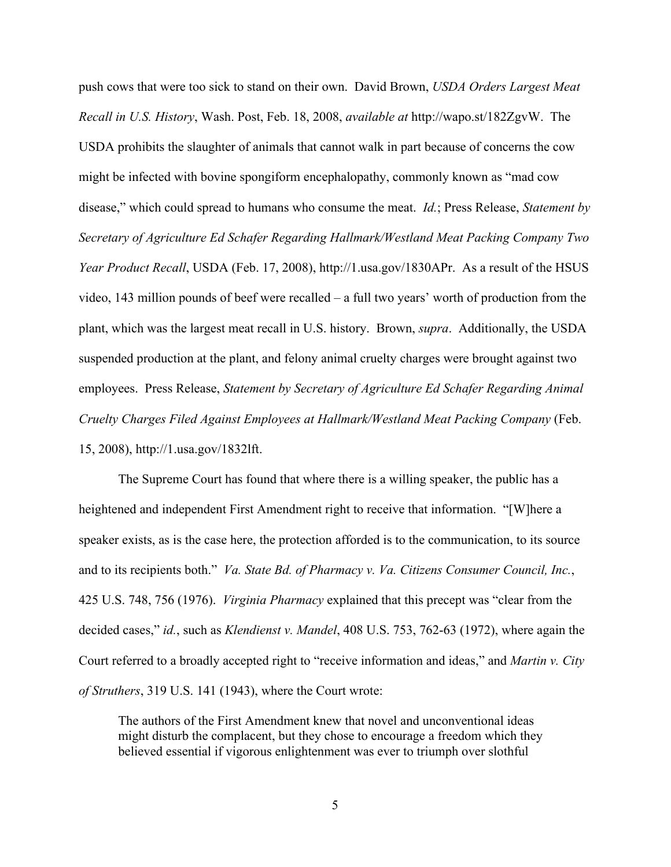push cows that were too sick to stand on their own. David Brown, *USDA Orders Largest Meat Recall in U.S. History*, Wash. Post, Feb. 18, 2008, *available at* http://wapo.st/182ZgvW. The USDA prohibits the slaughter of animals that cannot walk in part because of concerns the cow might be infected with bovine spongiform encephalopathy, commonly known as "mad cow disease," which could spread to humans who consume the meat. *Id.*; Press Release, *Statement by Secretary of Agriculture Ed Schafer Regarding Hallmark/Westland Meat Packing Company Two Year Product Recall*, USDA (Feb. 17, 2008), http://1.usa.gov/1830APr. As a result of the HSUS video, 143 million pounds of beef were recalled – a full two years' worth of production from the plant, which was the largest meat recall in U.S. history. Brown, *supra*. Additionally, the USDA suspended production at the plant, and felony animal cruelty charges were brought against two employees. Press Release, *Statement by Secretary of Agriculture Ed Schafer Regarding Animal Cruelty Charges Filed Against Employees at Hallmark/Westland Meat Packing Company* (Feb. 15, 2008), http://1.usa.gov/1832lft.

The Supreme Court has found that where there is a willing speaker, the public has a heightened and independent First Amendment right to receive that information. "[W]here a speaker exists, as is the case here, the protection afforded is to the communication, to its source and to its recipients both." *Va. State Bd. of Pharmacy v. Va. Citizens Consumer Council, Inc.*, 425 U.S. 748, 756 (1976). *Virginia Pharmacy* explained that this precept was "clear from the decided cases," *id.*, such as *Klendienst v. Mandel*, 408 U.S. 753, 762-63 (1972), where again the Court referred to a broadly accepted right to "receive information and ideas," and *Martin v. City of Struthers*, 319 U.S. 141 (1943), where the Court wrote:

The authors of the First Amendment knew that novel and unconventional ideas might disturb the complacent, but they chose to encourage a freedom which they believed essential if vigorous enlightenment was ever to triumph over slothful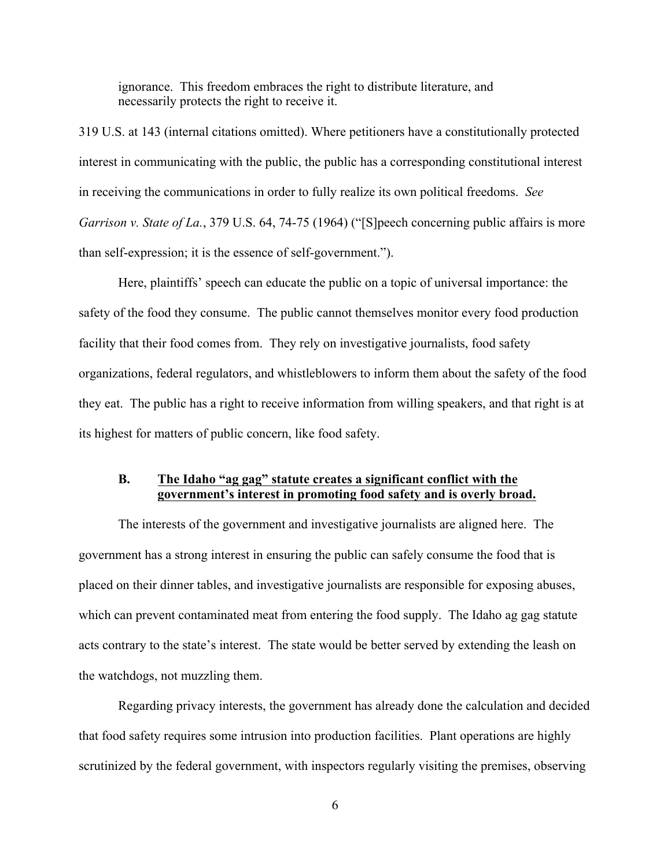ignorance. This freedom embraces the right to distribute literature, and necessarily protects the right to receive it.

319 U.S. at 143 (internal citations omitted). Where petitioners have a constitutionally protected interest in communicating with the public, the public has a corresponding constitutional interest in receiving the communications in order to fully realize its own political freedoms. *See Garrison v. State of La.*, 379 U.S. 64, 74-75 (1964) ("[S]peech concerning public affairs is more than self-expression; it is the essence of self-government.").

Here, plaintiffs' speech can educate the public on a topic of universal importance: the safety of the food they consume. The public cannot themselves monitor every food production facility that their food comes from. They rely on investigative journalists, food safety organizations, federal regulators, and whistleblowers to inform them about the safety of the food they eat. The public has a right to receive information from willing speakers, and that right is at its highest for matters of public concern, like food safety.

## **B. The Idaho "ag gag" statute creates a significant conflict with the government's interest in promoting food safety and is overly broad.**

The interests of the government and investigative journalists are aligned here. The government has a strong interest in ensuring the public can safely consume the food that is placed on their dinner tables, and investigative journalists are responsible for exposing abuses, which can prevent contaminated meat from entering the food supply. The Idaho ag gag statute acts contrary to the state's interest. The state would be better served by extending the leash on the watchdogs, not muzzling them.

Regarding privacy interests, the government has already done the calculation and decided that food safety requires some intrusion into production facilities. Plant operations are highly scrutinized by the federal government, with inspectors regularly visiting the premises, observing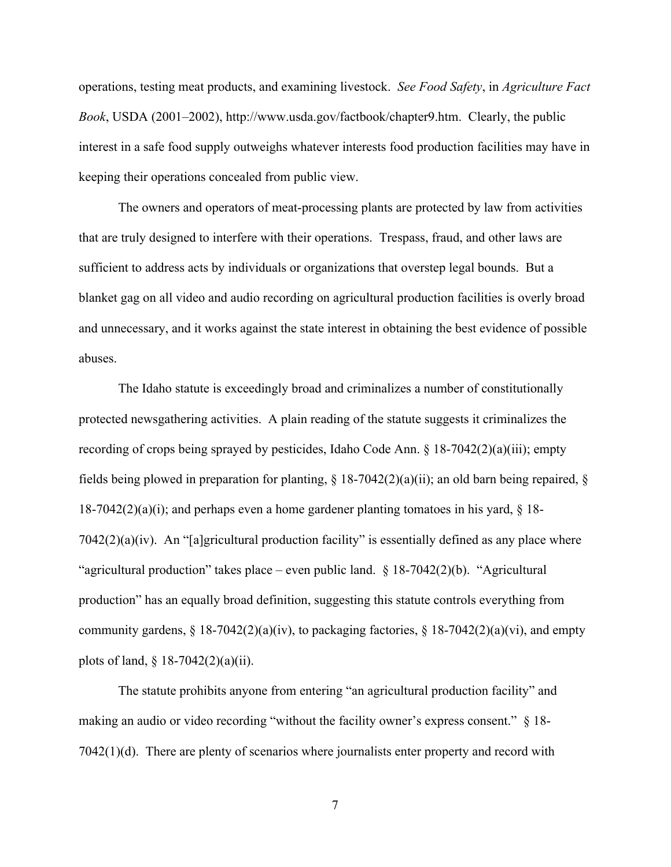operations, testing meat products, and examining livestock. *See Food Safety*, in *Agriculture Fact Book*, USDA (2001–2002), http://www.usda.gov/factbook/chapter9.htm. Clearly, the public interest in a safe food supply outweighs whatever interests food production facilities may have in keeping their operations concealed from public view.

The owners and operators of meat-processing plants are protected by law from activities that are truly designed to interfere with their operations. Trespass, fraud, and other laws are sufficient to address acts by individuals or organizations that overstep legal bounds. But a blanket gag on all video and audio recording on agricultural production facilities is overly broad and unnecessary, and it works against the state interest in obtaining the best evidence of possible abuses.

The Idaho statute is exceedingly broad and criminalizes a number of constitutionally protected newsgathering activities. A plain reading of the statute suggests it criminalizes the recording of crops being sprayed by pesticides, Idaho Code Ann. § 18-7042(2)(a)(iii); empty fields being plowed in preparation for planting,  $\S$  18-7042(2)(a)(ii); an old barn being repaired,  $\S$  $18-7042(2)(a)(i)$ ; and perhaps even a home gardener planting tomatoes in his yard, § 18- $7042(2)(a)(iv)$ . An "[a]gricultural production facility" is essentially defined as any place where "agricultural production" takes place – even public land. § 18-7042(2)(b). "Agricultural production" has an equally broad definition, suggesting this statute controls everything from community gardens,  $\S 18-7042(2)(a)(iv)$ , to packaging factories,  $\S 18-7042(2)(a)(vi)$ , and empty plots of land,  $\S$  18-7042(2)(a)(ii).

The statute prohibits anyone from entering "an agricultural production facility" and making an audio or video recording "without the facility owner's express consent." § 18- 7042(1)(d). There are plenty of scenarios where journalists enter property and record with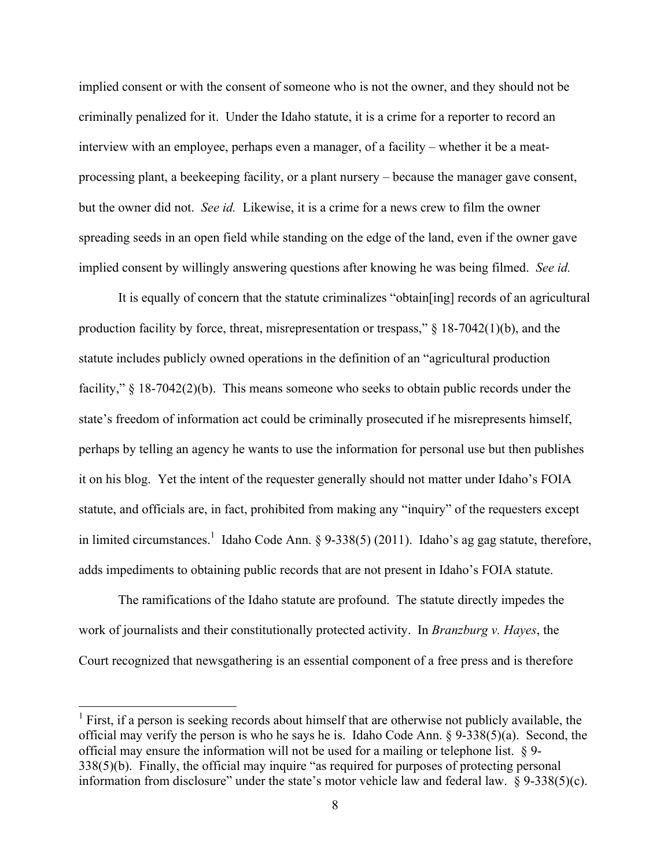implied consent or with the consent of someone who is not the owner, and they should not be criminally penalized for it. Under the Idaho statute, it is a crime for a reporter to record an interview with an employee, perhaps even a manager, of a facility – whether it be a meatprocessing plant, a beekeeping facility, or a plant nursery – because the manager gave consent, but the owner did not. *See id.* Likewise, it is a crime for a news crew to film the owner spreading seeds in an open field while standing on the edge of the land, even if the owner gave implied consent by willingly answering questions after knowing he was being filmed. *See id.*

It is equally of concern that the statute criminalizes "obtain[ing] records of an agricultural production facility by force, threat, misrepresentation or trespass," § 18-7042(1)(b), and the statute includes publicly owned operations in the definition of an "agricultural production facility," § 18-7042(2)(b). This means someone who seeks to obtain public records under the state's freedom of information act could be criminally prosecuted if he misrepresents himself, perhaps by telling an agency he wants to use the information for personal use but then publishes it on his blog. Yet the intent of the requester generally should not matter under Idaho's FOIA statute, and officials are, in fact, prohibited from making any "inquiry" of the requesters except in limited circumstances.<sup>1</sup> Idaho Code Ann. § 9-338(5) (2011). Idaho's ag gag statute, therefore, adds impediments to obtaining public records that are not present in Idaho's FOIA statute.

The ramifications of the Idaho statute are profound. The statute directly impedes the work of journalists and their constitutionally protected activity. In *Branzburg v. Hayes*, the Court recognized that newsgathering is an essential component of a free press and is therefore

 $<sup>1</sup>$  First, if a person is seeking records about himself that are otherwise not publicly available, the</sup> official may verify the person is who he says he is. Idaho Code Ann. § 9-338(5)(a). Second, the official may ensure the information will not be used for a mailing or telephone list. § 9- 338(5)(b). Finally, the official may inquire "as required for purposes of protecting personal information from disclosure" under the state's motor vehicle law and federal law.  $\frac{8}{9}$ -338(5)(c).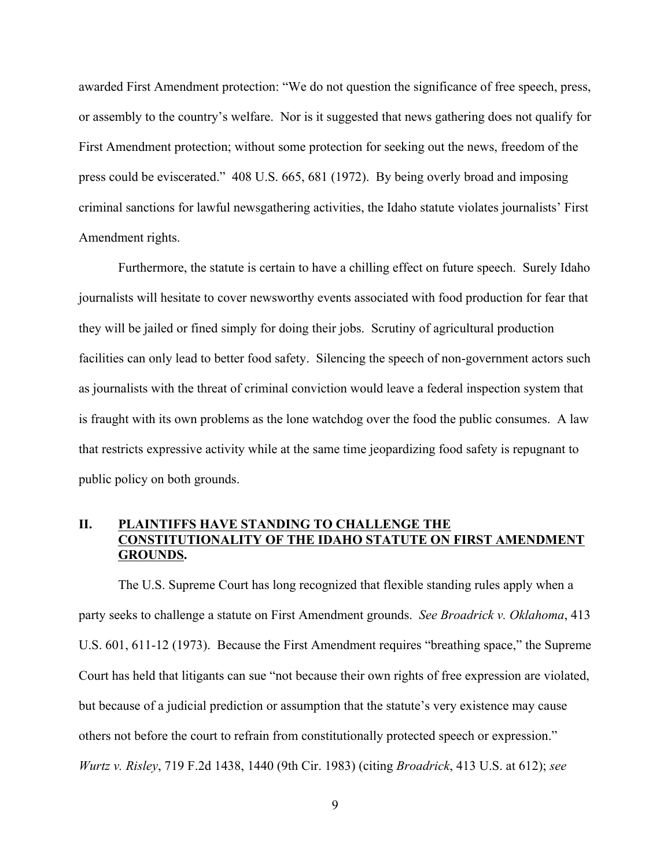awarded First Amendment protection: "We do not question the significance of free speech, press, or assembly to the country's welfare. Nor is it suggested that news gathering does not qualify for First Amendment protection; without some protection for seeking out the news, freedom of the press could be eviscerated." 408 U.S. 665, 681 (1972). By being overly broad and imposing criminal sanctions for lawful newsgathering activities, the Idaho statute violates journalists' First Amendment rights.

Furthermore, the statute is certain to have a chilling effect on future speech. Surely Idaho journalists will hesitate to cover newsworthy events associated with food production for fear that they will be jailed or fined simply for doing their jobs. Scrutiny of agricultural production facilities can only lead to better food safety. Silencing the speech of non-government actors such as journalists with the threat of criminal conviction would leave a federal inspection system that is fraught with its own problems as the lone watchdog over the food the public consumes. A law that restricts expressive activity while at the same time jeopardizing food safety is repugnant to public policy on both grounds.

# **II. PLAINTIFFS HAVE STANDING TO CHALLENGE THE CONSTITUTIONALITY OF THE IDAHO STATUTE ON FIRST AMENDMENT GROUNDS.**

The U.S. Supreme Court has long recognized that flexible standing rules apply when a party seeks to challenge a statute on First Amendment grounds. *See Broadrick v. Oklahoma*, 413 U.S. 601, 611-12 (1973). Because the First Amendment requires "breathing space," the Supreme Court has held that litigants can sue "not because their own rights of free expression are violated, but because of a judicial prediction or assumption that the statute's very existence may cause others not before the court to refrain from constitutionally protected speech or expression." *Wurtz v. Risley*, 719 F.2d 1438, 1440 (9th Cir. 1983) (citing *Broadrick*, 413 U.S. at 612); *see*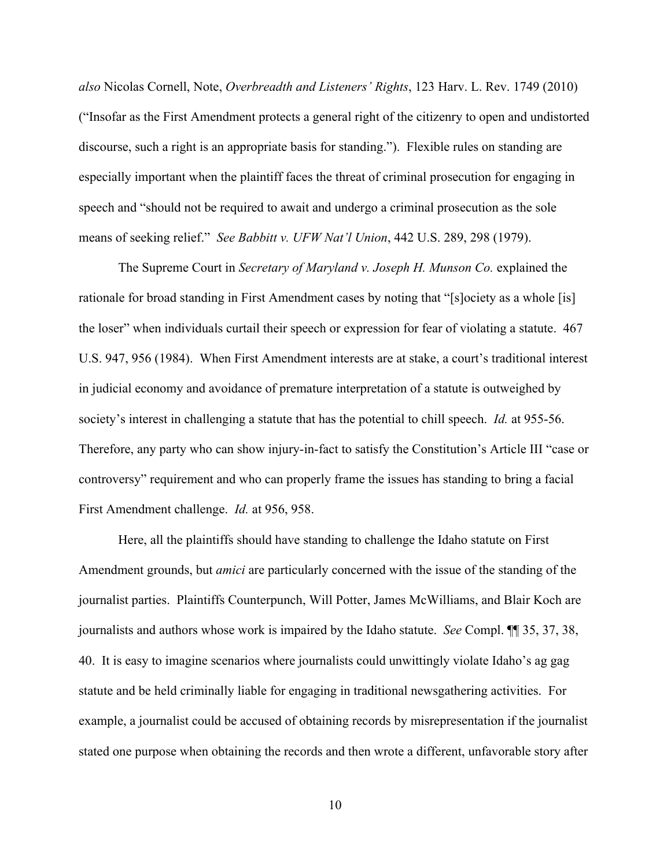*also* Nicolas Cornell, Note, *Overbreadth and Listeners' Rights*, 123 Harv. L. Rev. 1749 (2010) ("Insofar as the First Amendment protects a general right of the citizenry to open and undistorted discourse, such a right is an appropriate basis for standing."). Flexible rules on standing are especially important when the plaintiff faces the threat of criminal prosecution for engaging in speech and "should not be required to await and undergo a criminal prosecution as the sole means of seeking relief." *See Babbitt v. UFW Nat'l Union*, 442 U.S. 289, 298 (1979).

The Supreme Court in *Secretary of Maryland v. Joseph H. Munson Co.* explained the rationale for broad standing in First Amendment cases by noting that "[s]ociety as a whole [is] the loser" when individuals curtail their speech or expression for fear of violating a statute. 467 U.S. 947, 956 (1984). When First Amendment interests are at stake, a court's traditional interest in judicial economy and avoidance of premature interpretation of a statute is outweighed by society's interest in challenging a statute that has the potential to chill speech. *Id.* at 955-56. Therefore, any party who can show injury-in-fact to satisfy the Constitution's Article III "case or controversy" requirement and who can properly frame the issues has standing to bring a facial First Amendment challenge. *Id.* at 956, 958.

Here, all the plaintiffs should have standing to challenge the Idaho statute on First Amendment grounds, but *amici* are particularly concerned with the issue of the standing of the journalist parties. Plaintiffs Counterpunch, Will Potter, James McWilliams, and Blair Koch are journalists and authors whose work is impaired by the Idaho statute. *See* Compl. ¶¶ 35, 37, 38, 40. It is easy to imagine scenarios where journalists could unwittingly violate Idaho's ag gag statute and be held criminally liable for engaging in traditional newsgathering activities. For example, a journalist could be accused of obtaining records by misrepresentation if the journalist stated one purpose when obtaining the records and then wrote a different, unfavorable story after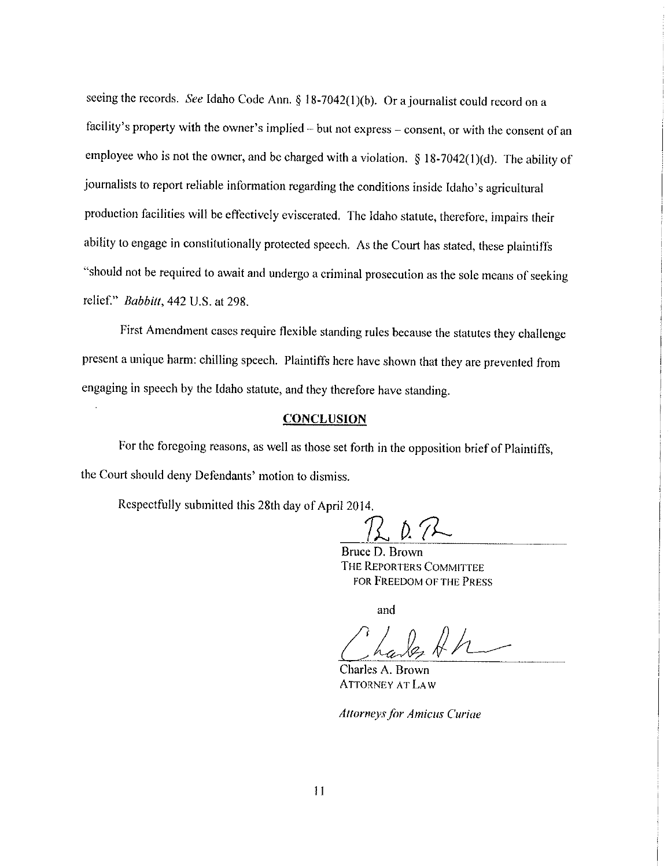seeing the records. See Idaho Code Ann. § 18-7042(1)(b). Or a journalist could record on a facility's property with the owner's implied - but not express - consent, or with the consent of an employee who is not the owner, and be charged with a violation.  $\S 18-7042(1)(d)$ . The ability of journalists to report reliable information regarding the conditions inside Idaho's agricultural production facilities will be effectively eviscerated. The Idaho statute, therefore, impairs their ability to engage in constitutionally protected speech. As the Court has stated, these plaintiffs "should not be required to await and undergo a criminal prosecution as the sole means of seeking relief." Babbitt, 442 U.S. at 298.

First Amendment cases require flexible standing rules because the statutes they challenge present a unique harm: chilling speech. Plaintiffs here have shown that they are prevented from engaging in speech by the Idaho statute, and they therefore have standing.

### **CONCLUSION**

For the foregoing reasons, as well as those set forth in the opposition brief of Plaintiffs, the Court should deny Defendants' motion to dismiss.

Respectfully submitted this 28th day of April 2014.

Bruce D. Brown THE REPORTERS COMMITTEE for Freedom of the Press

and

Charles A. Brown **ATTORNEY AT LAW** 

**Attorneys for Amicus Curiae**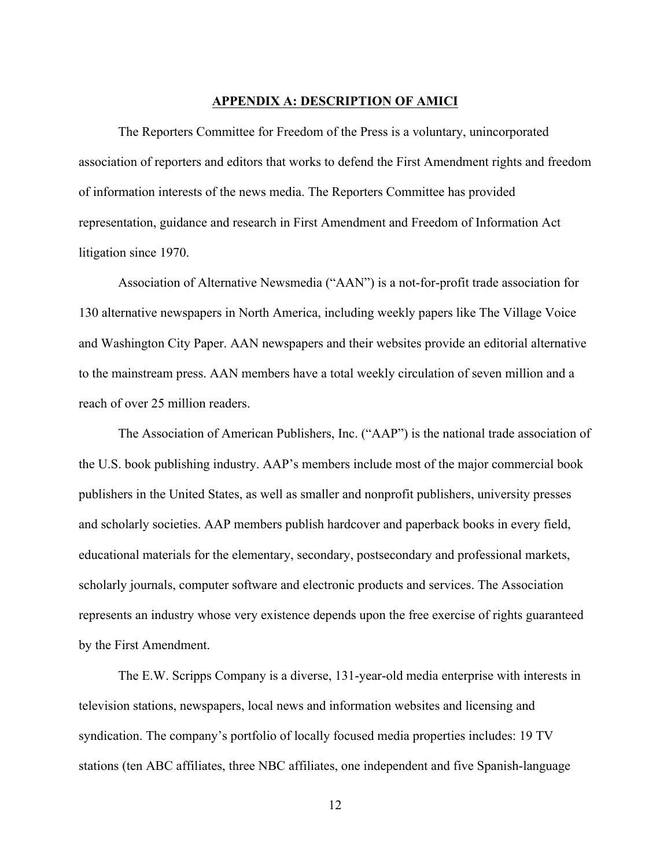### **APPENDIX A: DESCRIPTION OF AMICI**

The Reporters Committee for Freedom of the Press is a voluntary, unincorporated association of reporters and editors that works to defend the First Amendment rights and freedom of information interests of the news media. The Reporters Committee has provided representation, guidance and research in First Amendment and Freedom of Information Act litigation since 1970.

Association of Alternative Newsmedia ("AAN") is a not-for-profit trade association for 130 alternative newspapers in North America, including weekly papers like The Village Voice and Washington City Paper. AAN newspapers and their websites provide an editorial alternative to the mainstream press. AAN members have a total weekly circulation of seven million and a reach of over 25 million readers.

The Association of American Publishers, Inc. ("AAP") is the national trade association of the U.S. book publishing industry. AAP's members include most of the major commercial book publishers in the United States, as well as smaller and nonprofit publishers, university presses and scholarly societies. AAP members publish hardcover and paperback books in every field, educational materials for the elementary, secondary, postsecondary and professional markets, scholarly journals, computer software and electronic products and services. The Association represents an industry whose very existence depends upon the free exercise of rights guaranteed by the First Amendment.

The E.W. Scripps Company is a diverse, 131-year-old media enterprise with interests in television stations, newspapers, local news and information websites and licensing and syndication. The company's portfolio of locally focused media properties includes: 19 TV stations (ten ABC affiliates, three NBC affiliates, one independent and five Spanish-language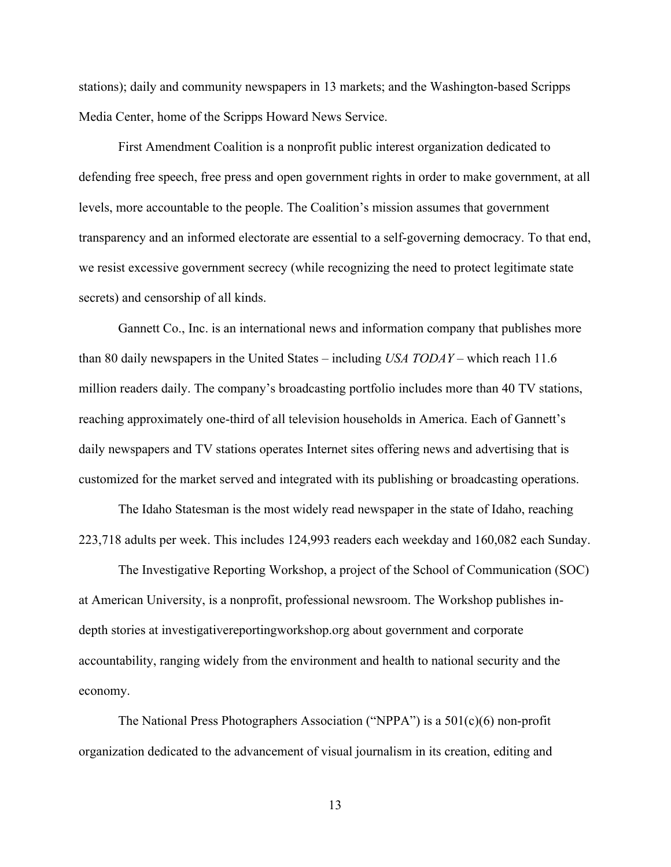stations); daily and community newspapers in 13 markets; and the Washington-based Scripps Media Center, home of the Scripps Howard News Service.

First Amendment Coalition is a nonprofit public interest organization dedicated to defending free speech, free press and open government rights in order to make government, at all levels, more accountable to the people. The Coalition's mission assumes that government transparency and an informed electorate are essential to a self-governing democracy. To that end, we resist excessive government secrecy (while recognizing the need to protect legitimate state secrets) and censorship of all kinds.

Gannett Co., Inc. is an international news and information company that publishes more than 80 daily newspapers in the United States – including *USA TODAY* – which reach 11.6 million readers daily. The company's broadcasting portfolio includes more than 40 TV stations, reaching approximately one-third of all television households in America. Each of Gannett's daily newspapers and TV stations operates Internet sites offering news and advertising that is customized for the market served and integrated with its publishing or broadcasting operations.

The Idaho Statesman is the most widely read newspaper in the state of Idaho, reaching 223,718 adults per week. This includes 124,993 readers each weekday and 160,082 each Sunday.

The Investigative Reporting Workshop, a project of the School of Communication (SOC) at American University, is a nonprofit, professional newsroom. The Workshop publishes indepth stories at investigativereportingworkshop.org about government and corporate accountability, ranging widely from the environment and health to national security and the economy.

The National Press Photographers Association ("NPPA") is a 501(c)(6) non-profit organization dedicated to the advancement of visual journalism in its creation, editing and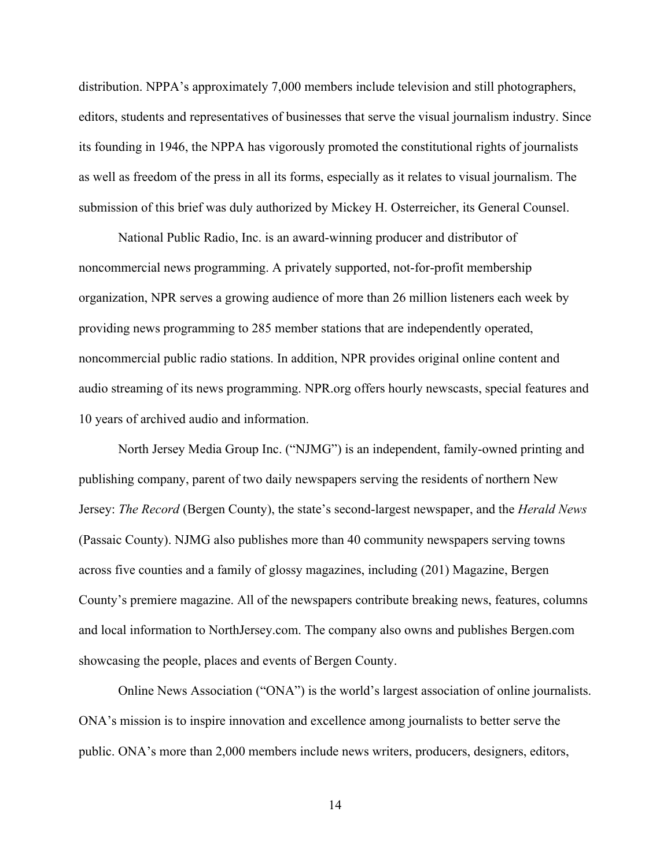distribution. NPPA's approximately 7,000 members include television and still photographers, editors, students and representatives of businesses that serve the visual journalism industry. Since its founding in 1946, the NPPA has vigorously promoted the constitutional rights of journalists as well as freedom of the press in all its forms, especially as it relates to visual journalism. The submission of this brief was duly authorized by Mickey H. Osterreicher, its General Counsel.

National Public Radio, Inc. is an award-winning producer and distributor of noncommercial news programming. A privately supported, not-for-profit membership organization, NPR serves a growing audience of more than 26 million listeners each week by providing news programming to 285 member stations that are independently operated, noncommercial public radio stations. In addition, NPR provides original online content and audio streaming of its news programming. NPR.org offers hourly newscasts, special features and 10 years of archived audio and information.

North Jersey Media Group Inc. ("NJMG") is an independent, family-owned printing and publishing company, parent of two daily newspapers serving the residents of northern New Jersey: *The Record* (Bergen County), the state's second-largest newspaper, and the *Herald News* (Passaic County). NJMG also publishes more than 40 community newspapers serving towns across five counties and a family of glossy magazines, including (201) Magazine, Bergen County's premiere magazine. All of the newspapers contribute breaking news, features, columns and local information to NorthJersey.com. The company also owns and publishes Bergen.com showcasing the people, places and events of Bergen County.

Online News Association ("ONA") is the world's largest association of online journalists. ONA's mission is to inspire innovation and excellence among journalists to better serve the public. ONA's more than 2,000 members include news writers, producers, designers, editors,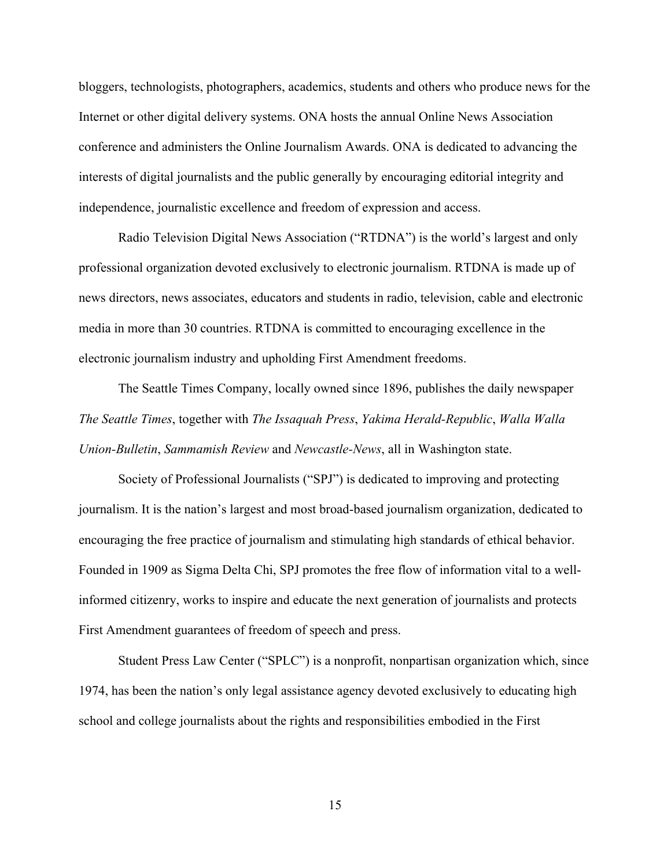bloggers, technologists, photographers, academics, students and others who produce news for the Internet or other digital delivery systems. ONA hosts the annual Online News Association conference and administers the Online Journalism Awards. ONA is dedicated to advancing the interests of digital journalists and the public generally by encouraging editorial integrity and independence, journalistic excellence and freedom of expression and access.

Radio Television Digital News Association ("RTDNA") is the world's largest and only professional organization devoted exclusively to electronic journalism. RTDNA is made up of news directors, news associates, educators and students in radio, television, cable and electronic media in more than 30 countries. RTDNA is committed to encouraging excellence in the electronic journalism industry and upholding First Amendment freedoms.

The Seattle Times Company, locally owned since 1896, publishes the daily newspaper *The Seattle Times*, together with *The Issaquah Press*, *Yakima Herald-Republic*, *Walla Walla Union-Bulletin*, *Sammamish Review* and *Newcastle-News*, all in Washington state.

Society of Professional Journalists ("SPJ") is dedicated to improving and protecting journalism. It is the nation's largest and most broad-based journalism organization, dedicated to encouraging the free practice of journalism and stimulating high standards of ethical behavior. Founded in 1909 as Sigma Delta Chi, SPJ promotes the free flow of information vital to a wellinformed citizenry, works to inspire and educate the next generation of journalists and protects First Amendment guarantees of freedom of speech and press.

Student Press Law Center ("SPLC") is a nonprofit, nonpartisan organization which, since 1974, has been the nation's only legal assistance agency devoted exclusively to educating high school and college journalists about the rights and responsibilities embodied in the First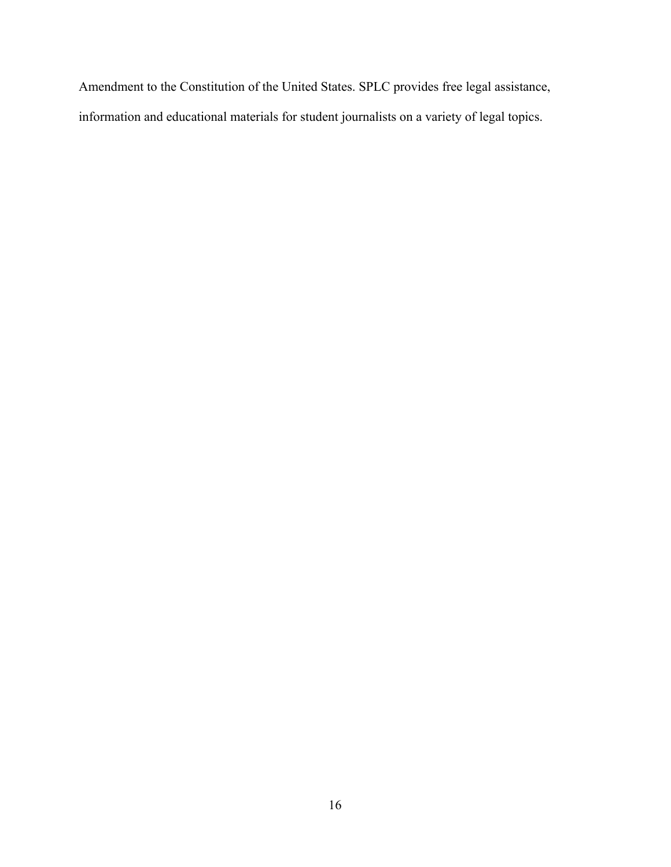Amendment to the Constitution of the United States. SPLC provides free legal assistance, information and educational materials for student journalists on a variety of legal topics.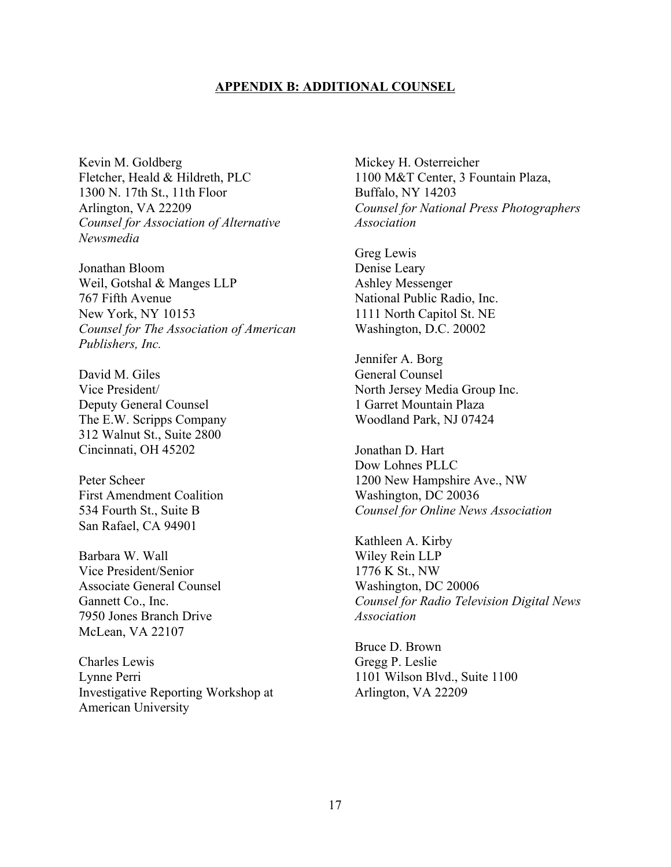#### **APPENDIX B: ADDITIONAL COUNSEL**

Kevin M. Goldberg Fletcher, Heald & Hildreth, PLC 1300 N. 17th St., 11th Floor Arlington, VA 22209 *Counsel for Association of Alternative Newsmedia*

Jonathan Bloom Weil, Gotshal & Manges LLP 767 Fifth Avenue New York, NY 10153 *Counsel for The Association of American Publishers, Inc.*

David M. Giles Vice President/ Deputy General Counsel The E.W. Scripps Company 312 Walnut St., Suite 2800 Cincinnati, OH 45202

Peter Scheer First Amendment Coalition 534 Fourth St., Suite B San Rafael, CA 94901

Barbara W. Wall Vice President/Senior Associate General Counsel Gannett Co., Inc. 7950 Jones Branch Drive McLean, VA 22107

Charles Lewis Lynne Perri Investigative Reporting Workshop at American University

Mickey H. Osterreicher 1100 M&T Center, 3 Fountain Plaza, Buffalo, NY 14203 *Counsel for National Press Photographers Association*

Greg Lewis Denise Leary Ashley Messenger National Public Radio, Inc. 1111 North Capitol St. NE Washington, D.C. 20002

Jennifer A. Borg General Counsel North Jersey Media Group Inc. 1 Garret Mountain Plaza Woodland Park, NJ 07424

Jonathan D. Hart Dow Lohnes PLLC 1200 New Hampshire Ave., NW Washington, DC 20036 *Counsel for Online News Association*

Kathleen A. Kirby Wiley Rein LLP 1776 K St., NW Washington, DC 20006 *Counsel for Radio Television Digital News Association*

Bruce D. Brown Gregg P. Leslie 1101 Wilson Blvd., Suite 1100 Arlington, VA 22209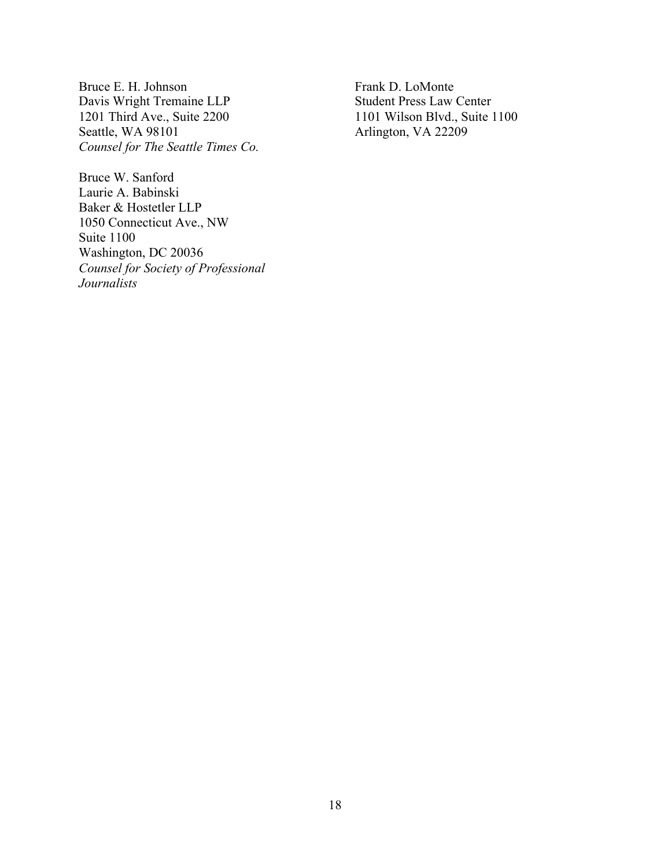Bruce E. H. Johnson Davis Wright Tremaine LLP 1201 Third Ave., Suite 2200 Seattle, WA 98101 *Counsel for The Seattle Times Co.*

Bruce W. Sanford Laurie A. Babinski Baker & Hostetler LLP 1050 Connecticut Ave., NW Suite 1100 Washington, DC 20036 *Counsel for Society of Professional Journalists*

Frank D. LoMonte Student Press Law Center 1101 Wilson Blvd., Suite 1100 Arlington, VA 22209